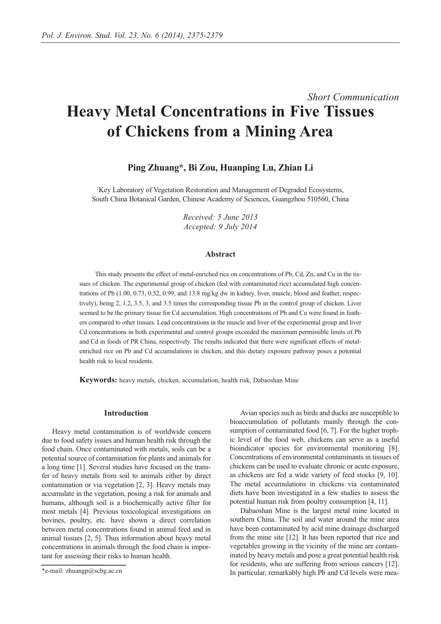# *Short Communication* **Heavy Metal Concentrations in Five Tissues of Chickens from a Mining Area**

## **Ping Zhuang\*, Bi Zou, Huanping Lu, Zhian Li**

Key Laboratory of Vegetation Restoration and Management of Degraded Ecosystems, South China Botanical Garden, Chinese Academy of Sciences, Guangzhou 510560, China

> *Received: 5 June 2013 Accepted: 9 July 2014*

### **Abstract**

This study presents the effect of metal-enriched rice on concentrations of Pb, Cd, Zn, and Cu in the tissues of chicken. The experimental group of chicken (fed with contaminated rice) accumulated high concentrations of Pb (1.00, 0.73, 0.52, 0.99, and 13.8 mg/kg dw in kidney, liver, muscle, blood and feather, respectively), being 2, 1.2, 3.5, 3, and 3.5 times the corresponding tissue Pb in the control group of chicken. Liver seemed to be the primary tissue for Cd accumulation. High concentrations of Pb and Cu were found in feathers compared to other tissues. Lead concentrations in the muscle and liver of the experimental group and liver Cd concentrations in both experimental and control groups exceeded the maximum permissible limits of Pb and Cd in foods of PR China, respectively. The results indicated that there were significant effects of metalenriched rice on Pb and Cd accumulations in chicken, and this dietary exposure pathway poses a potential health risk to local residents.

**Keywords:** heavy metals, chicken, accumulation, health risk, Dabaoshan Mine

### **Introduction**

Heavy metal contamination is of worldwide concern due to food safety issues and human health risk through the food chain. Once contaminated with metals, soils can be a potential source of contamination for plants and animals for a long time [1]. Several studies have focused on the transfer of heavy metals from soil to animals either by direct contamination or via vegetation [2, 3]. Heavy metals may accumulate in the vegetation, posing a risk for animals and humans, although soil is a biochemically active filter for most metals [4]. Previous toxicological investigations on bovines, poultry, etc. have shown a direct correlation between metal concentrations found in animal feed and in animal tissues [2, 5]. Thus information about heavy metal concentrations in animals through the food chain is important for assessing their risks to human health.

Avian species such as birds and ducks are susceptible to bioaccumulation of pollutants mainly through the consumption of contaminated food [6, 7]. For the higher trophic level of the food web, chickens can serve as a useful bioindicator species for environmental monitoring [8]. Concentrations of environmental contaminants in tissues of chickens can be used to evaluate chronic or acute exposure, as chickens are fed a wide variety of feed stocks [9, 10]. The metal accumulations in chickens via contaminated diets have been investigated in a few studies to assess the potential human risk from poultry consumption [4, 11].

Dabaoshan Mine is the largest metal mine located in southern China. The soil and water around the mine area have been contaminated by acid mine drainage discharged from the mine site [12]. It has been reported that rice and vegetables growing in the vicinity of the mine are contaminated by heavy metals and pose a great potential health risk for residents, who are suffering from serious cancers [12]. In particular, remarkably high Pb and Cd levels were mea-

<sup>\*</sup>e-mail: zhuangp@scbg.ac.cn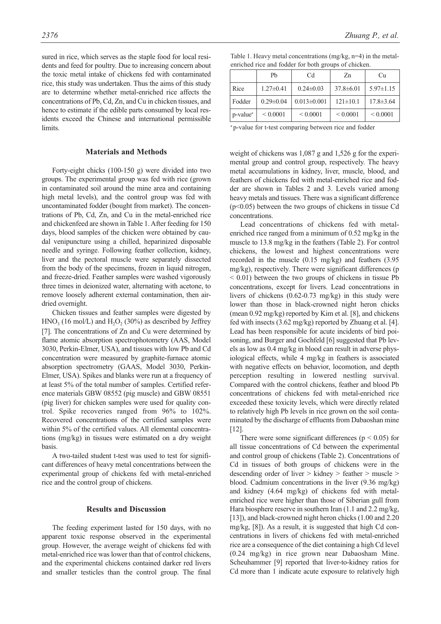sured in rice, which serves as the staple food for local residents and feed for poultry. Due to increasing concern about the toxic metal intake of chickens fed with contaminated rice, this study was undertaken. Thus the aims of this study are to determine whether metal-enriched rice affects the concentrations of Pb, Cd, Zn, and Cu in chicken tissues, and hence to estimate if the edible parts consumed by local residents exceed the Chinese and international permissible **limits** 

#### **Materials and Methods**

Forty-eight chicks (100-150 g) were divided into two groups. The experimental group was fed with rice (grown in contaminated soil around the mine area and containing high metal levels), and the control group was fed with uncontaminated fodder (bought from market). The concentrations of Pb, Cd, Zn, and Cu in the metal-enriched rice and chickenfeed are shown in Table 1. After feeding for 150 days, blood samples of the chicken were obtained by caudal venipuncture using a chilled, heparinized disposable needle and syringe. Following feather collection, kidney, liver and the pectoral muscle were separately dissected from the body of the specimens, frozen in liquid nitrogen, and freeze-dried. Feather samples were washed vigorously three times in deionized water, alternating with acetone, to remove loosely adherent external contamination, then airdried overnight.

Chicken tissues and feather samples were digested by  $HNO<sub>3</sub>$  (16 mol/L) and  $H<sub>2</sub>O<sub>2</sub>$  (30%) as described by Jeffrey [7]. The concentrations of Zn and Cu were determined by flame atomic absorption spectrophotometry (AAS, Model 3030, Perkin-Elmer, USA), and tissues with low Pb and Cd concentration were measured by graphite-furnace atomic absorption spectrometry (GAAS, Model 3030, Perkin-Elmer, USA). Spikes and blanks were run at a frequency of at least 5% of the total number of samples. Certified reference materials GBW 08552 (pig muscle) and GBW 08551 (pig liver) for chicken samples were used for quality control. Spike recoveries ranged from 96% to 102%. Recovered concentrations of the certified samples were within 5% of the certified values. All elemental concentrations (mg/kg) in tissues were estimated on a dry weight basis.

A two-tailed student t-test was used to test for significant differences of heavy metal concentrations between the experimental group of chickens fed with metal-enriched rice and the control group of chickens.

#### **Results and Discussion**

The feeding experiment lasted for 150 days, with no apparent toxic response observed in the experimental group. However, the average weight of chickens fed with metal-enriched rice was lower than that of control chickens, and the experimental chickens contained darker red livers and smaller testicles than the control group. The final

| Table 1. Heavy metal concentrations $(mg/kg, n=4)$ in the metal- |  |
|------------------------------------------------------------------|--|
| enriched rice and fodder for both groups of chicken.             |  |

|                          | Pb              | Cd                | Zn              | Cи              |
|--------------------------|-----------------|-------------------|-----------------|-----------------|
| Rice                     | $1.27 \pm 0.41$ | $0.24 \pm 0.03$   | $37.8 \pm 6.01$ | $5.97 \pm 1.15$ |
| Fodder                   | $0.29 \pm 0.04$ | $0.013 \pm 0.001$ | $121 \pm 10.1$  | $17.8 \pm 3.64$ |
| $ p$ -value <sup>a</sup> | ${}_{0.0001}$   | ${}_{0.0001}$     | ${}_{0.0001}$   | ${}_{0.0001}$   |

<sup>a</sup> p-value for t-test comparing between rice and fodder

weight of chickens was 1,087 g and 1,526 g for the experimental group and control group, respectively. The heavy metal accumulations in kidney, liver, muscle, blood, and feathers of chickens fed with metal-enriched rice and fodder are shown in Tables 2 and 3. Levels varied among heavy metals and tissues. There was a significant difference (p<0.05) between the two groups of chickens in tissue Cd concentrations.

Lead concentrations of chickens fed with metalenriched rice ranged from a minimum of 0.52 mg/kg in the muscle to 13.8 mg/kg in the feathers (Table 2). For control chickens, the lowest and highest concentrations were recorded in the muscle (0.15 mg/kg) and feathers (3.95 mg/kg), respectively. There were significant differences (p  $\leq$  0.01) between the two groups of chickens in tissue Pb concentrations, except for livers. Lead concentrations in livers of chickens (0.62-0.73 mg/kg) in this study were lower than those in black-crowned night heron chicks (mean 0.92 mg/kg) reported by Kim et al. [8], and chickens fed with insects (3.62 mg/kg) reported by Zhuang et al. [4]. Lead has been responsible for acute incidents of bird poisoning, and Burger and Gochfeld [6] suggested that Pb levels as low as 0.4 mg/kg in blood can result in adverse physiological effects, while 4 mg/kg in feathers is associated with negative effects on behavior, locomotion, and depth perception resulting in lowered nestling survival. Compared with the control chickens, feather and blood Pb concentrations of chickens fed with metal-enriched rice exceeded these toxicity levels, which were directly related to relatively high Pb levels in rice grown on the soil contaminated by the discharge of effluents from Dabaoshan mine [12].

There were some significant differences ( $p < 0.05$ ) for all tissue concentrations of Cd between the experimental and control group of chickens (Table 2). Concentrations of Cd in tissues of both groups of chickens were in the descending order of liver > kidney > feather > muscle > blood. Cadmium concentrations in the liver (9.36 mg/kg) and kidney (4.64 mg/kg) of chickens fed with metalenriched rice were higher than those of Siberian gull from Hara biosphere reserve in southern Iran (1.1 and 2.2 mg/kg, [13]), and black-crowned night heron chicks (1.00 and 2.20 mg/kg, [8]). As a result, it is suggested that high Cd concentrations in livers of chickens fed with metal-enriched rice are a consequence of the diet containing a high Cd level (0.24 mg/kg) in rice grown near Dabaosham Mine. Scheuhammer [9] reported that liver-to-kidney ratios for Cd more than 1 indicate acute exposure to relatively high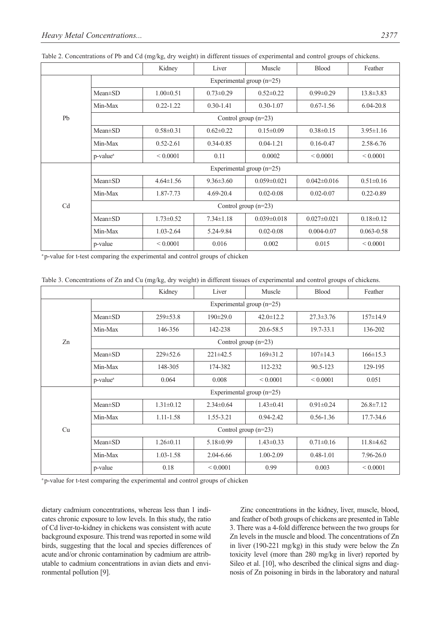|    |                             | Kidney          | Liver           | Muscle            | Blood             | Feather         |  |
|----|-----------------------------|-----------------|-----------------|-------------------|-------------------|-----------------|--|
| Pb | Experimental group $(n=25)$ |                 |                 |                   |                   |                 |  |
|    | $Mean \pm SD$               | $1.00 \pm 0.51$ | $0.73 \pm 0.29$ | $0.52 \pm 0.22$   | $0.99 \pm 0.29$   | $13.8 \pm 3.83$ |  |
|    | Min-Max                     | $0.22 - 1.22$   | $0.30 - 1.41$   | $0.30 - 1.07$     | $0.67 - 1.56$     | $6.04 - 20.8$   |  |
|    | Control group $(n=23)$      |                 |                 |                   |                   |                 |  |
|    | $Mean \pm SD$               | $0.58 \pm 0.31$ | $0.62 \pm 0.22$ | $0.15 \pm 0.09$   | $0.38 \pm 0.15$   | $3.95 \pm 1.16$ |  |
|    | Min-Max                     | $0.52 - 2.61$   | $0.34 - 0.85$   | $0.04 - 1.21$     | $0.16 - 0.47$     | 2.58-6.76       |  |
|    | p-value <sup>a</sup>        | ${}_{0.0001}$   | 0.11            | 0.0002            | ${}_{0.0001}$     | ${}_{0.0001}$   |  |
| Cd | Experimental group $(n=25)$ |                 |                 |                   |                   |                 |  |
|    | $Mean \pm SD$               | $4.64 \pm 1.56$ | $9.36 \pm 3.60$ | $0.059 \pm 0.021$ | $0.042 \pm 0.016$ | $0.51 \pm 0.16$ |  |
|    | Min-Max                     | 1.87-7.73       | $4.69 - 20.4$   | $0.02 - 0.08$     | $0.02 - 0.07$     | $0.22 - 0.89$   |  |
|    | Control group $(n=23)$      |                 |                 |                   |                   |                 |  |
|    | $Mean \pm SD$               | $1.73 \pm 0.52$ | $7.34 \pm 1.18$ | $0.039 \pm 0.018$ | $0.027 \pm 0.021$ | $0.18 \pm 0.12$ |  |
|    | Min-Max                     | $1.03 - 2.64$   | 5.24-9.84       | $0.02 - 0.08$     | $0.004 - 0.07$    | $0.063 - 0.58$  |  |
|    | p-value                     | ${}_{0.0001}$   | 0.016           | 0.002             | 0.015             | ${}_{0.0001}$   |  |

Table 2. Concentrations of Pb and Cd (mg/kg, dry weight) in different tissues of experimental and control groups of chickens.

<sup>a</sup> p-value for t-test comparing the experimental and control groups of chicken

| Table 3. Concentrations of Zn and Cu (mg/kg, dry weight) in different tissues of experimental and control groups of chickens |  |  |
|------------------------------------------------------------------------------------------------------------------------------|--|--|
|------------------------------------------------------------------------------------------------------------------------------|--|--|

|    |                             | Kidney          | Liver           | Muscle          | <b>Blood</b>    | Feather         |  |
|----|-----------------------------|-----------------|-----------------|-----------------|-----------------|-----------------|--|
| Zn | Experimental group (n=25)   |                 |                 |                 |                 |                 |  |
|    | $Mean \pm SD$               | $259 \pm 53.8$  | $190 \pm 29.0$  | $42.0 \pm 12.2$ | $27.3 \pm 3.76$ | $157 \pm 14.9$  |  |
|    | Min-Max                     | 146-356         | 142-238         | 20.6-58.5       | 19.7-33.1       | 136-202         |  |
|    | Control group $(n=23)$      |                 |                 |                 |                 |                 |  |
|    | $Mean \pm SD$               | $229 \pm 52.6$  | $221 \pm 42.5$  | $169 \pm 31.2$  | $107 \pm 14.3$  | $166 \pm 15.3$  |  |
|    | Min-Max                     | 148-305         | 174-382         | 112-232         | 90.5-123        | 129-195         |  |
|    | p-value <sup>a</sup>        | 0.064           | 0.008           | ${}_{0.0001}$   | ${}_{0.0001}$   | 0.051           |  |
| Cu | Experimental group $(n=25)$ |                 |                 |                 |                 |                 |  |
|    | $Mean \pm SD$               | $1.31 \pm 0.12$ | $2.34\pm0.64$   | $1.43 \pm 0.41$ | $0.91 \pm 0.24$ | $26.8 \pm 7.12$ |  |
|    | Min-Max                     | 1.11-1.58       | 1.55-3.21       | $0.94 - 2.42$   | $0.56 - 1.36$   | 17.7-34.6       |  |
|    | Control group $(n=23)$      |                 |                 |                 |                 |                 |  |
|    | $Mean \pm SD$               | $1.26 \pm 0.11$ | $5.18 \pm 0.99$ | $1.43 \pm 0.33$ | $0.71 \pm 0.16$ | $11.8\pm4.62$   |  |
|    | Min-Max                     | 1.03-1.58       | 2.04-6.66       | 1.00-2.09       | $0.48 - 1.01$   | 7.96-26.0       |  |
|    | p-value                     | 0.18            | ${}< 0.0001$    | 0.99            | 0.003           | ${}_{0.0001}$   |  |

<sup>a</sup> p-value for t-test comparing the experimental and control groups of chicken

dietary cadmium concentrations, whereas less than 1 indicates chronic exposure to low levels. In this study, the ratio of Cd liver-to-kidney in chickens was consistent with acute background exposure. This trend was reported in some wild birds, suggesting that the local and species differences of acute and/or chronic contamination by cadmium are attributable to cadmium concentrations in avian diets and environmental pollution [9].

Zinc concentrations in the kidney, liver, muscle, blood, and feather of both groups of chickens are presented in Table 3. There was a 4-fold difference between the two groups for Zn levels in the muscle and blood. The concentrations of Zn in liver (190-221 mg/kg) in this study were below the Zn toxicity level (more than 280 mg/kg in liver) reported by Sileo et al. [10], who described the clinical signs and diagnosis of Zn poisoning in birds in the laboratory and natural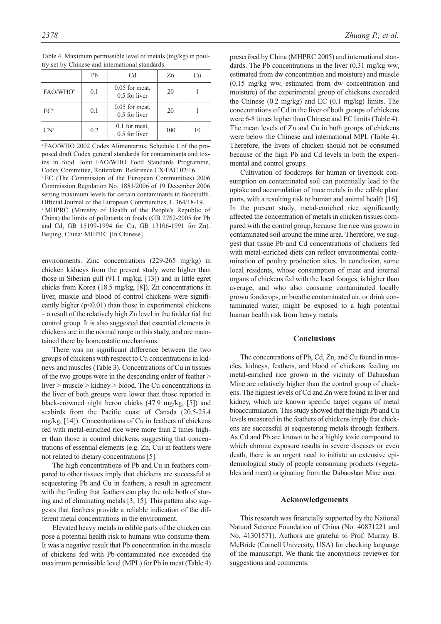|                      | Pb  | C <sub>d</sub>                    | Zn  | Сu |
|----------------------|-----|-----------------------------------|-----|----|
| FAO/WHO <sup>a</sup> | 0.1 | $0.05$ for meat,<br>0.5 for liver | 20  |    |
| $EC^b$               | 0.1 | $0.05$ for meat,<br>0.5 for liver | 20  |    |
| CN <sup>c</sup>      | 0.2 | $0.1$ for meat,<br>0.5 for liver  | 100 | 10 |

Table 4. Maximum permissible level of metals (mg/kg) in poultry set by Chinese and international standards.

a FAO/WHO 2002 Codex Alimentarius, Schedule 1 of the proposed draft Codex general standards for contaminants and toxins in food. Joint FAO/WHO Food Standards Programme, Codex Committee, Rotterdam. Reference CX/FAC 02/16.

b EC (The Commission of the European Communities) 2006 Commission Regulation No. 1881/2006 of 19 December 2006 setting maximum levels for certain contaminants in foodstuffs. Official Journal of the European Communities, L 364/18-19. c MHPRC (Ministry of Health of the People's Republic of China) the limits of pollutants in foods (GB 2762-2005 for Pb and Cd, GB 15199-1994 for Cu, GB 13106-1991 for Zn). Beijing, China: MHPRC [In Chinese]

environments. Zinc concentrations (229-265 mg/kg) in chicken kidneys from the present study were higher than those in Siberian gull (91.1 mg/kg, [13]) and in little egret chicks from Korea (18.5 mg/kg, [8]). Zn concentrations in liver, muscle and blood of control chickens were significantly higher  $(p<0.01)$  than those in experimental chickens – a result of the relatively high Zn level in the fodder fed the control group. It is also suggested that essential elements in chickens are in the normal range in this study, and are maintained there by homeostatic mechanisms.

There was no significant difference between the two groups of chickens with respect to Cu concentrations in kidneys and muscles (Table 3). Concentrations of Cu in tissues of the two groups were in the descending order of feather > liver > muscle > kidney > blood. The Cu concentrations in the liver of both groups were lower than those reported in black-crowned night heron chicks (47.9 mg/kg, [5]) and seabirds from the Pacific coast of Canada (20.5-25.4 mg/kg, [14]). Concentrations of Cu in feathers of chickens fed with metal-enriched rice were more than 2 times higher than those in control chickens, suggesting that concentrations of essential elements (e.g. Zn, Cu) in feathers were not related to dietary concentrations [5].

The high concentrations of Pb and Cu in feathers compared to other tissues imply that chickens are successful at sequestering Pb and Cu in feathers, a result in agreement with the finding that feathers can play the role both of storing and of eliminating metals [3, 15]. This pattern also suggests that feathers provide a reliable indication of the different metal concentrations in the environment.

Elevated heavy metals in edible parts of the chicken can pose a potential health risk to humans who consume them. It was a negative result that Pb concentration in the muscle of chickens fed with Pb-contaminated rice exceeded the maximum permissible level (MPL) for Pb in meat (Table 4)

*2378 Zhuang P., et al.* 

prescribed by China (MHPRC 2005) and international standards. The Pb concentrations in the liver (0.31 mg/kg ww, estimated from dw concentration and moisture) and muscle (0.15 mg/kg ww, estimated from dw concentration and moisture) of the experimental group of chickens exceeded the Chinese (0.2 mg/kg) and EC (0.1 mg/kg) limits. The concentrations of Cd in the liver of both groups of chickens were 6-8 times higher than Chinese and EC limits (Table 4). The mean levels of Zn and Cu in both groups of chickens were below the Chinese and international MPL (Table 4). Therefore, the livers of chicken should not be consumed because of the high Pb and Cd levels in both the experimental and control groups.

Cultivation of foodcrops for human or livestock consumption on contaminated soil can potentially lead to the uptake and accumulation of trace metals in the edible plant parts, with a resulting risk to human and animal health [16]. In the present study, metal-enriched rice significantly affected the concentration of metals in chicken tissues compared with the control group, because the rice was grown in contaminated soil around the mine area. Therefore, we suggest that tissue Pb and Cd concentrations of chickens fed with metal-enriched diets can reflect environmental contamination of poultry production sites. In conclusion, some local residents, whose consumption of meat and internal organs of chickens fed with the local forages, is higher than average, and who also consume contaminated locally grown foodcrops, or breathe contaminated air, or drink contaminated water, might be exposed to a high potential human health risk from heavy metals.

#### **Conclusions**

The concentrations of Pb, Cd, Zn, and Cu found in muscles, kidneys, feathers, and blood of chickens feeding on metal-enriched rice grown in the vicinity of Dabaoshan Mine are relatively higher than the control group of chickens. The highest levels of Cd and Zn were found in liver and kidney, which are known specific target organs of metal bioaccumulation. This study showed that the high Pb and Cu levels measured in the feathers of chickens imply that chickens are successful at sequestering metals through feathers. As Cd and Pb are known to be a highly toxic compound to which chronic exposure results in severe diseases or even death, there is an urgent need to initiate an extensive epidemiological study of people consuming products (vegetables and meat) originating from the Dabaoshan Mine area.

## **Acknowledgements**

This research was financially supported by the National Natural Science Foundation of China (No. 40871221 and No. 41301571). Authors are grateful to Prof. Murray B. McBride (Cornell University, USA) for checking language of the manuscript. We thank the anonymous reviewer for suggestions and comments.